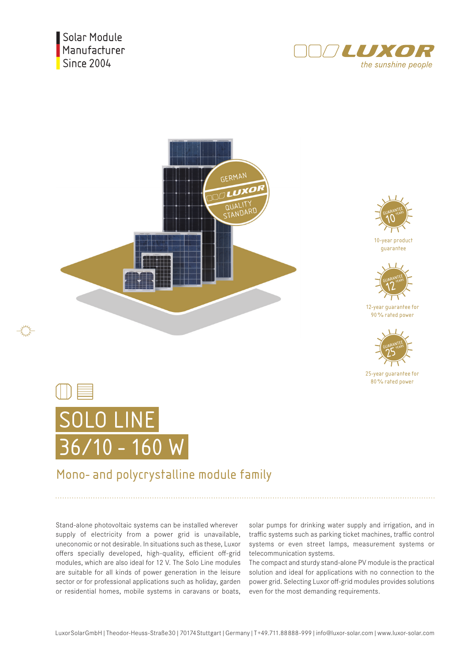Solar Module Manufacturer **Since 2004** 







10-year product guarantee



12-year guarantee for 90% rated power



25-year guarantee for 80% rated power



## Mono- and polycrystalline module family

Stand-alone photovoltaic systems can be installed wherever supply of electricity from a power grid is unavailable, uneconomic or not desirable. In situations such as these, Luxor offers specially developed, high-quality, efficient off-grid modules, which are also ideal for 12 V. The Solo Line modules are suitable for all kinds of power generation in the leisure sector or for professional applications such as holiday, garden or residential homes, mobile systems in caravans or boats,

solar pumps for drinking water supply and irrigation, and in traffic systems such as parking ticket machines, traffic control systems or even street lamps, measurement systems or telecommunication systems.

The compact and sturdy stand-alone PV module is the practical solution and ideal for applications with no connection to the power grid. Selecting Luxor off-grid modules provides solutions even for the most demanding requirements.